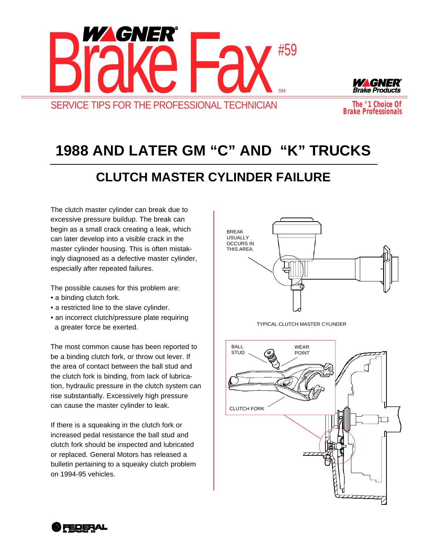



*The # 1 Choice Of Brake Professionals*

## **1988 AND LATER GM "C" AND "K" TRUCKS**

## **CLUTCH MASTER CYLINDER FAILURE**

The clutch master cylinder can break due to excessive pressure buildup. The break can begin as a small crack creating a leak, which can later develop into a visible crack in the master cylinder housing. This is often mistakingly diagnosed as a defective master cylinder, especially after repeated failures.

The possible causes for this problem are:

- a binding clutch fork.
- a restricted line to the slave cylinder.
- an incorrect clutch/pressure plate requiring a greater force be exerted.

The most common cause has been reported to be a binding clutch fork, or throw out lever. If the area of contact between the ball stud and the clutch fork is binding, from lack of lubrication, hydraulic pressure in the clutch system can rise substantially. Excessively high pressure can cause the master cylinder to leak.

If there is a squeaking in the clutch fork or increased pedal resistance the ball stud and clutch fork should be inspected and lubricated or replaced. General Motors has released a bulletin pertaining to a squeaky clutch problem on 1994-95 vehicles.



TYPICAL CLUTCH MASTER CYLINDER